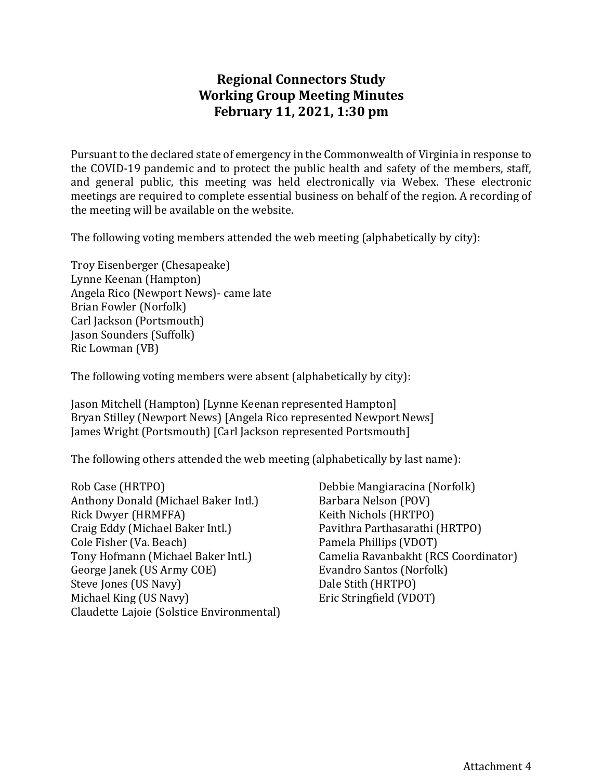# **Regional Connectors Study Working Group Meeting Minutes February 11, 2021, 1:30 pm**

Pursuant to the declared state of emergency in the Commonwealth of Virginia in response to the COVID-19 pandemic and to protect the public health and safety of the members, staff, and general public, this meeting was held electronically via Webex. These electronic meetings are required to complete essential business on behalf of the region. A recording of the meeting will be available on the website.

The following voting members attended the web meeting (alphabetically by city):

Troy Eisenberger (Chesapeake) Lynne Keenan (Hampton) Angela Rico (Newport News)- came late Brian Fowler (Norfolk) Carl Jackson (Portsmouth) Jason Sounders (Suffolk) Ric Lowman (VB)

The following voting members were absent (alphabetically by city):

Jason Mitchell (Hampton) [Lynne Keenan represented Hampton] Bryan Stilley (Newport News) [Angela Rico represented Newport News] James Wright (Portsmouth) [Carl Jackson represented Portsmouth]

The following others attended the web meeting (alphabetically by last name):

Rob Case (HRTPO) Anthony Donald (Michael Baker Intl.) Rick Dwyer (HRMFFA) Craig Eddy (Michael Baker Intl.) Cole Fisher (Va. Beach) Tony Hofmann (Michael Baker Intl.) George Janek (US Army COE) Steve Jones (US Navy) Michael King (US Navy) Claudette Lajoie (Solstice Environmental) Debbie Mangiaracina (Norfolk) Barbara Nelson (POV) Keith Nichols (HRTPO) Pavithra Parthasarathi (HRTPO) Pamela Phillips (VDOT) Camelia Ravanbakht (RCS Coordinator) Evandro Santos (Norfolk) Dale Stith (HRTPO) Eric Stringfield (VDOT)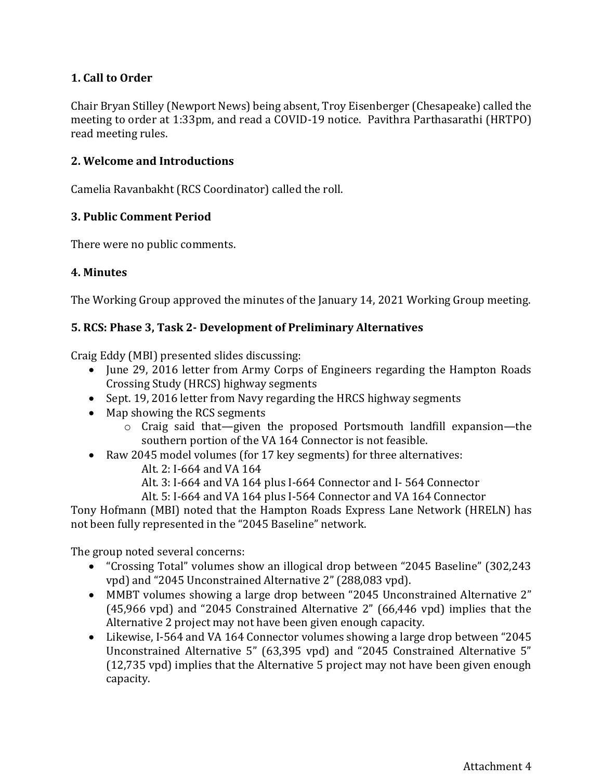## **1. Call to Order**

Chair Bryan Stilley (Newport News) being absent, Troy Eisenberger (Chesapeake) called the meeting to order at 1:33pm, and read a COVID-19 notice. Pavithra Parthasarathi (HRTPO) read meeting rules.

### **2. Welcome and Introductions**

Camelia Ravanbakht (RCS Coordinator) called the roll.

#### **3. Public Comment Period**

There were no public comments.

#### **4. Minutes**

The Working Group approved the minutes of the January 14, 2021 Working Group meeting.

#### **5. RCS: Phase 3, Task 2- Development of Preliminary Alternatives**

Craig Eddy (MBI) presented slides discussing:

- June 29, 2016 letter from Army Corps of Engineers regarding the Hampton Roads Crossing Study (HRCS) highway segments
- Sept. 19, 2016 letter from Navy regarding the HRCS highway segments
- Map showing the RCS segments
	- o Craig said that—given the proposed Portsmouth landfill expansion—the southern portion of the VA 164 Connector is not feasible.
- Raw 2045 model volumes (for 17 key segments) for three alternatives:
	- Alt. 2: I-664 and VA 164
	- Alt. 3: I-664 and VA 164 plus I-664 Connector and I- 564 Connector

Alt. 5: I-664 and VA 164 plus I-564 Connector and VA 164 Connector

Tony Hofmann (MBI) noted that the Hampton Roads Express Lane Network (HRELN) has not been fully represented in the "2045 Baseline" network.

The group noted several concerns:

- "Crossing Total" volumes show an illogical drop between "2045 Baseline" (302,243 vpd) and "2045 Unconstrained Alternative 2" (288,083 vpd).
- MMBT volumes showing a large drop between "2045 Unconstrained Alternative 2" (45,966 vpd) and "2045 Constrained Alternative 2" (66,446 vpd) implies that the Alternative 2 project may not have been given enough capacity.
- Likewise, I-564 and VA 164 Connector volumes showing a large drop between "2045" Unconstrained Alternative 5" (63,395 vpd) and "2045 Constrained Alternative 5" (12,735 vpd) implies that the Alternative 5 project may not have been given enough capacity.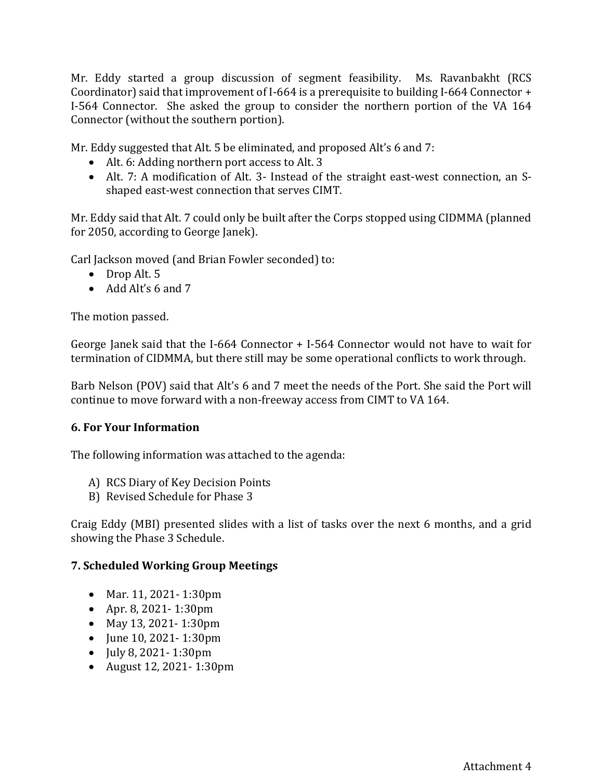Mr. Eddy started a group discussion of segment feasibility. Ms. Ravanbakht (RCS Coordinator) said that improvement of I-664 is a prerequisite to building I-664 Connector + I-564 Connector. She asked the group to consider the northern portion of the VA 164 Connector (without the southern portion).

Mr. Eddy suggested that Alt. 5 be eliminated, and proposed Alt's 6 and 7:

- Alt. 6: Adding northern port access to Alt. 3
- Alt. 7: A modification of Alt. 3- Instead of the straight east-west connection, an Sshaped east-west connection that serves CIMT.

Mr. Eddy said that Alt. 7 could only be built after the Corps stopped using CIDMMA (planned for 2050, according to George Janek).

Carl Jackson moved (and Brian Fowler seconded) to:

- Drop Alt. 5
- Add Alt's 6 and 7

The motion passed.

George Janek said that the I-664 Connector + I-564 Connector would not have to wait for termination of CIDMMA, but there still may be some operational conflicts to work through.

Barb Nelson (POV) said that Alt's 6 and 7 meet the needs of the Port. She said the Port will continue to move forward with a non-freeway access from CIMT to VA 164.

### **6. For Your Information**

The following information was attached to the agenda:

- A) RCS Diary of Key Decision Points
- B) Revised Schedule for Phase 3

Craig Eddy (MBI) presented slides with a list of tasks over the next 6 months, and a grid showing the Phase 3 Schedule.

### **7. Scheduled Working Group Meetings**

- Mar. 11, 2021- 1:30pm
- Apr. 8, 2021- 1:30pm
- May 13, 2021- 1:30pm
- June 10, 2021- 1:30pm
- July 8, 2021- 1:30pm
- August 12, 2021- 1:30pm